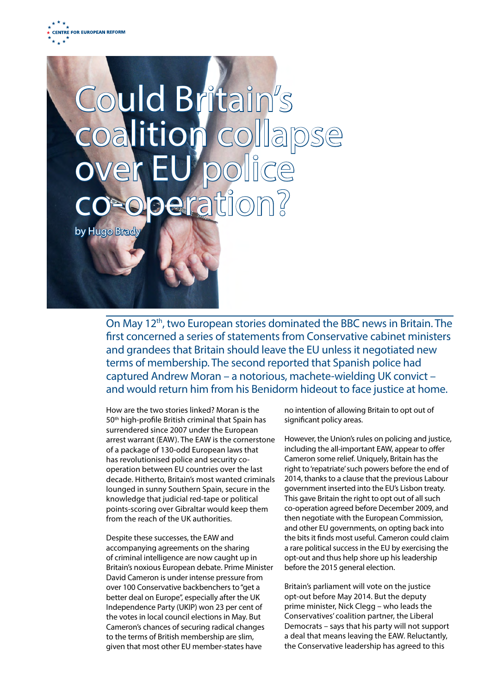

# Could Britain's oalition collapse over EU police eration

by Hugo Brad

On May 12th, two European stories dominated the BBC news in Britain. The first concerned a series of statements from Conservative cabinet ministers and grandees that Britain should leave the EU unless it negotiated new terms of membership. The second reported that Spanish police had captured Andrew Moran – a notorious, machete-wielding UK convict – and would return him from his Benidorm hideout to face justice at home.

How are the two stories linked? Moran is the 50th high-profile British criminal that Spain has surrendered since 2007 under the European arrest warrant (EAW). The EAW is the cornerstone of a package of 130-odd European laws that has revolutionised police and security cooperation between EU countries over the last decade. Hitherto, Britain's most wanted criminals lounged in sunny Southern Spain, secure in the knowledge that judicial red-tape or political points-scoring over Gibraltar would keep them from the reach of the UK authorities.

Despite these successes, the EAW and accompanying agreements on the sharing of criminal intelligence are now caught up in Britain's noxious European debate. Prime Minister David Cameron is under intense pressure from over 100 Conservative backbenchers to "get a better deal on Europe", especially after the UK Independence Party (UKIP) won 23 per cent of the votes in local council elections in May. But Cameron's chances of securing radical changes to the terms of British membership are slim, given that most other EU member-states have

no intention of allowing Britain to opt out of significant policy areas.

However, the Union's rules on policing and justice, including the all-important EAW, appear to offer Cameron some relief. Uniquely, Britain has the right to 'repatriate' such powers before the end of 2014, thanks to a clause that the previous Labour government inserted into the EU's Lisbon treaty. This gave Britain the right to opt out of all such co-operation agreed before December 2009, and then negotiate with the European Commission, and other EU governments, on opting back into the bits it finds most useful. Cameron could claim a rare political success in the EU by exercising the opt-out and thus help shore up his leadership before the 2015 general election.

Britain's parliament will vote on the justice opt-out before May 2014. But the deputy prime minister, Nick Clegg – who leads the Conservatives' coalition partner, the Liberal Democrats – says that his party will not support a deal that means leaving the EAW. Reluctantly, the Conservative leadership has agreed to this